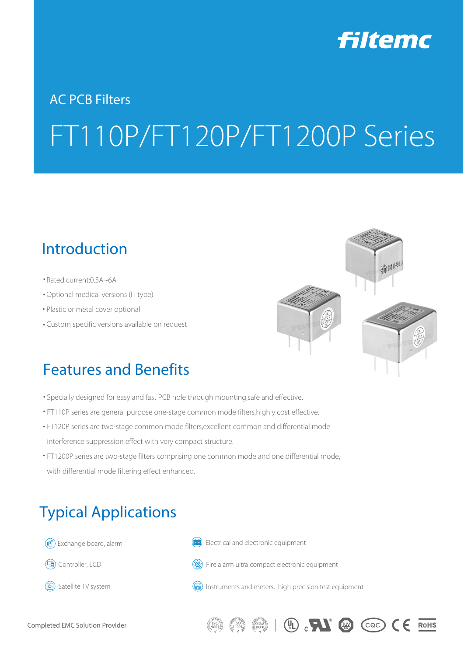

# AC PCB Filters FT110P/FT120P/FT1200P Series

#### Introduction

- Rated current: 0.5A~6A
- Optional medical versions (H type) ⒩
- Plastic or metal cover optional
- Custom specific versions available on request ⒩



 $(\mathbb{Q})$   $\mathbb{R}$   $(\mathbb{Q})$   $(\infty)$   $(\infty)$   $(\infty)$ 

### Features and Benefits

- Specially designed for easy and fast PCB hole through mounting,safe and effective.
- FT110P series are general purpose one-stage common mode filters, highly cost effective.
- FT120P series are two-stage common mode filters,excellent common and differential mode interference suppression effect with very compact structure.
- FT1200P series are two-stage filters comprising one common mode and one differential mode, with differential mode filtering effect enhanced.



Instruments and meters, high precision test equipment

(圖) Satellite TV system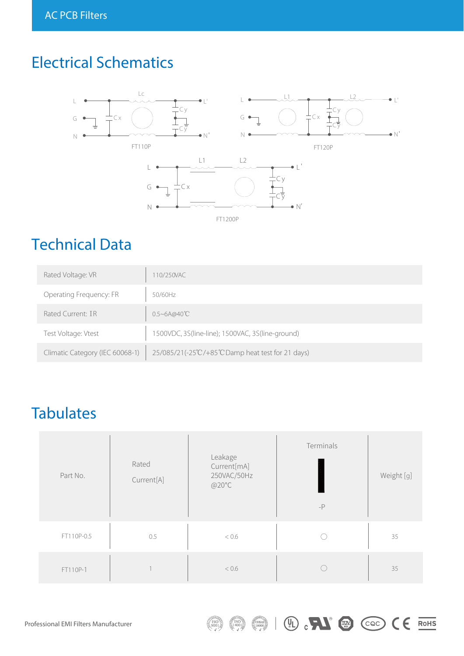## Electrical Schematics



### Technical Data

| Rated Voltage: VR               | 10/250VAC                                         |
|---------------------------------|---------------------------------------------------|
| Operating Frequency: FR         | 50/60Hz                                           |
| Rated Current: IR               | $0.5 - 6A@40^{\circ}\text{C}$                     |
| Test Voltage: Vtest             | 1500VDC, 3S(line-line); 1500VAC, 3S(line-ground)  |
| Climatic Category (IEC 60068-1) | 25/085/21(-25°C/+85°C Damp heat test for 21 days) |

### **Tabulates**

| Part No.   | Rated<br>Current[A] | Leakage<br>Current[mA]<br>250VAC/50Hz<br>@20°C | Terminals<br>$-P$ | Weight [g] |
|------------|---------------------|------------------------------------------------|-------------------|------------|
| FT110P-0.5 | 0.5                 | < 0.6                                          |                   | 35         |
| FT110P-1   |                     | < 0.6                                          |                   | 35         |

 $\binom{1}{3001}$ 

 $(150)$ 

 $\binom{6}{18000}$ 

 $\mathbb{R}^n$   $\mathbb{R}^n$   $\mathbb{C}$   $\mathbb{C}$   $\mathbb{C}$   $\mathbb{C}$   $\mathbb{R}$   $\mathbb{R}$   $\mathbb{R}$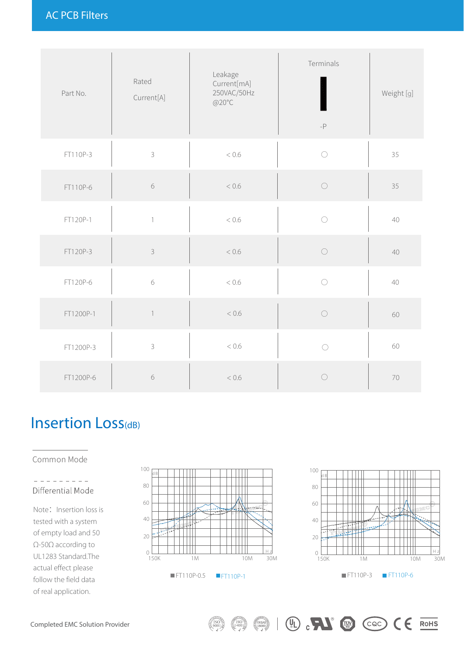| Part No.  | Rated<br>Current[A] | Leakage<br>Current[mA]<br>250VAC/50Hz<br>@20°C | Terminals<br>$\textnormal{-}\mathsf{P}$ | Weight [g] |
|-----------|---------------------|------------------------------------------------|-----------------------------------------|------------|
| FT110P-3  | $\mathsf 3$         | < 0.6                                          | $\bigcirc$                              | 35         |
| FT110P-6  | $\sqrt{6}$          | $< 0.6$                                        | $\bigcirc$                              | 35         |
| FT120P-1  | $\left  \right $    | < 0.6                                          | $\bigcirc$                              | $40\,$     |
| FT120P-3  | $\mathsf 3$         | $< 0.6$                                        | $\bigcirc$                              | 40         |
| FT120P-6  | $\sqrt{6}$          | < 0.6                                          | $\bigcirc$                              | 40         |
| FT1200P-1 | $\overline{1}$      | $< 0.6$                                        | $\bigcirc$                              | 60         |
| FT1200P-3 | $\mathsf 3$         | < 0.6                                          | $\bigcirc$                              | 60         |
| FT1200P-6 | $\sqrt{6}$          | < 0.6                                          | $\bigcirc$                              | 70         |

### Insertion Loss<sub>(dB)</sub>

Common Mode

L.

#### $\frac{1}{2} \left( \frac{1}{2} \right) \left( \frac{1}{2} \right) \left( \frac{1}{2} \right) \left( \frac{1}{2} \right) \left( \frac{1}{2} \right) \left( \frac{1}{2} \right) \left( \frac{1}{2} \right) \left( \frac{1}{2} \right) \left( \frac{1}{2} \right) \left( \frac{1}{2} \right) \left( \frac{1}{2} \right) \left( \frac{1}{2} \right) \left( \frac{1}{2} \right) \left( \frac{1}{2} \right) \left( \frac{1}{2} \right) \left( \frac{1}{2} \right) \left( \frac$ Differential Mode

Note: Insertion loss is tested with a system of empty load and 50 Ω-50Ω according to UL1283 Standard.The actual effect please follow the field data of real application.



 $\binom{0}{18000}$ 



 $\circledR$   $\bullet$   $\bullet$   $\circledR$   $\bullet$   $\bullet$   $\bullet$   $\bullet$   $\bullet$   $\bullet$   $\bullet$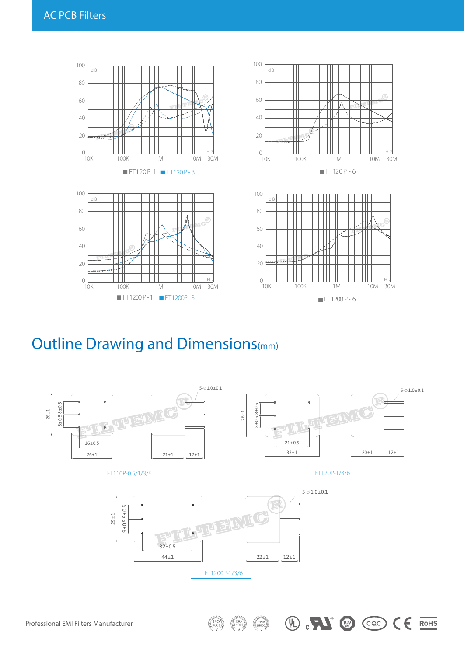

#### Outline Drawing and Dimensions(mm)



 $\binom{6}{18000}$ 

 $\circledR$   $\bullet$   $\circledR$   $\circledR$   $\circledR$   $\circledR$   $\circledR$   $\circledR$   $\circledR$   $\circledR$   $\circledR$   $\circledR$   $\circledR$   $\circledR$   $\circledR$   $\circledR$   $\circledR$   $\circledR$   $\circledR$   $\circledR$   $\circledR$   $\circledR$   $\circledR$   $\circledR$   $\circledR$   $\circledR$   $\circledR$   $\circledR$   $\circledR$   $\circledR$   $\circledR$   $\circledR$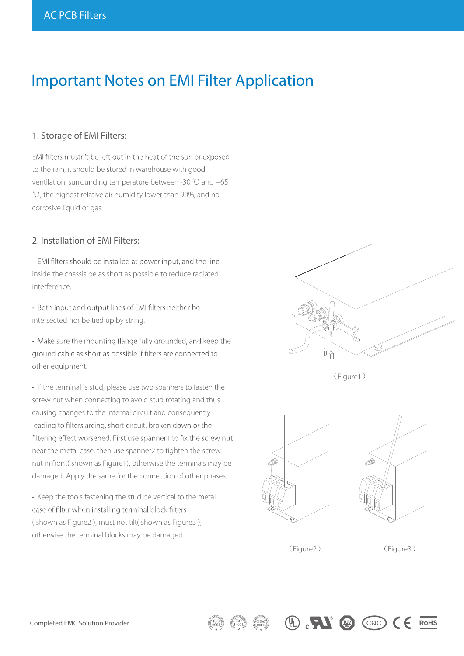#### Important Notes on EMI Filter Application

#### 1. Storage of EMI Filters:

EMI filters mustn't be left out in the heat of the sun or exposed to the rain, it should be stored in warehouse with good ventilation, surrounding temperature between -30 ℃ and +65 ℃, the highest relative air humidity lower than 90%, and no corrosive liquid or gas.

#### 2. Installation of EMI Filters:

• EMI filters should be installed at power input, and the line inside the chassis be as short as possible to reduce radiated interference.

• Both input and output lines of EMI filters neither be intersected nor be tied up by string.

• Make sure the mounting flange fully grounded, and keep the ground cable as short as possible if filters are connected to other equipment.

• If the terminal is stud, please use two spanners to fasten the screw nut when connecting to avoid stud rotating and thus causing changes to the internal circuit and consequently leading to filters arcing, short circuit, broken down or the filtering effect worsened. First use spanner1 to fix the screw nut near the metal case, then use spanner2 to tighten the screw nut in front( shown as Figure1), otherwise the terminals may be damaged. Apply the same for the connection of other phases.

• Keep the tools fastening the stud be vertical to the metal case of filter when installing terminal block filters ( shown as Figure2 ), must not tilt( shown as Figure3 ), otherwise the terminal blocks may be damaged.



(Figure1)





(Figure2) (Figure3)

 $\begin{pmatrix} 0 \\ 1 \end{pmatrix}$  ,  $\begin{pmatrix} 1 \\ 2 \end{pmatrix}$   $\begin{pmatrix} 0 \\ 0 \end{pmatrix}$  (cac)